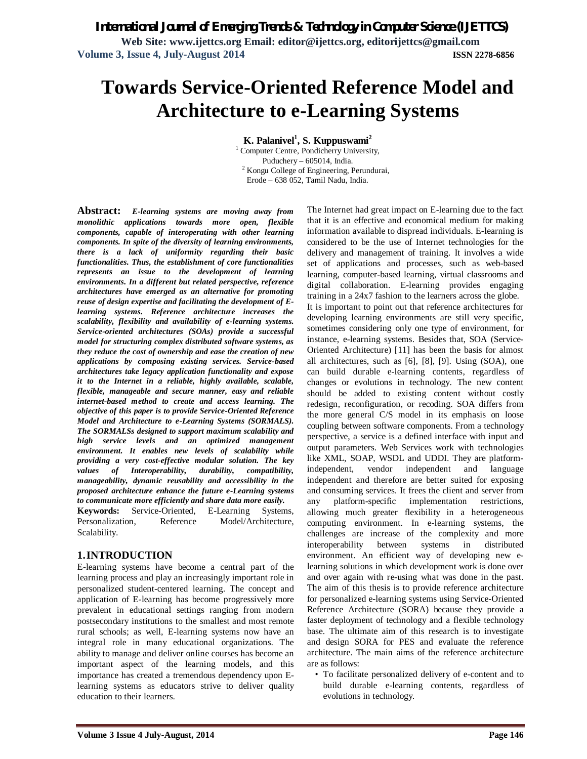**Web Site: www.ijettcs.org Email: editor@ijettcs.org, editorijettcs@gmail.com Volume 3, Issue 4, July-August 2014 ISSN 2278-6856**

# **Towards Service-Oriented Reference Model and Architecture to e-Learning Systems**

**K. Palanivel<sup>1</sup> , S. Kuppuswami<sup>2</sup>**

<sup>1</sup> Computer Centre, Pondicherry University, Puduchery – 605014, India. <sup>2</sup> Kongu College of Engineering, Perundurai, Erode – 638 052, Tamil Nadu, India.

**Abstract:** *E-learning systems are moving away from monolithic applications towards more open, flexible components, capable of interoperating with other learning components. In spite of the diversity of learning environments, there is a lack of uniformity regarding their basic functionalities. Thus, the establishment of core functionalities represents an issue to the development of learning environments. In a different but related perspective, reference architectures have emerged as an alternative for promoting reuse of design expertise and facilitating the development of Elearning systems. Reference architecture increases the scalability, flexibility and availability of e-learning systems. Service-oriented architectures (SOAs) provide a successful model for structuring complex distributed software systems, as they reduce the cost of ownership and ease the creation of new applications by composing existing services. Service-based architectures take legacy application functionality and expose it to the Internet in a reliable, highly available, scalable, flexible, manageable and secure manner, easy and reliable internet-based method to create and access learning. The objective of this paper is to provide Service-Oriented Reference Model and Architecture to e-Learning Systems (SORMALS). The SORMALSs designed to support maximum scalability and high service levels and an optimized management environment. It enables new levels of scalability while providing a very cost-effective modular solution. The key values of Interoperability, durability, compatibility, manageability, dynamic reusability and accessibility in the proposed architecture enhance the future e-Learning systems to communicate more efficiently and share data more easily.*

**Keywords:** Service-Oriented, E-Learning Systems, Personalization, Reference Model/Architecture, Scalability.

#### **1.INTRODUCTION**

E-learning systems have become a central part of the learning process and play an increasingly important role in personalized student-centered learning. The concept and application of E-learning has become progressively more prevalent in educational settings ranging from modern postsecondary institutions to the smallest and most remote rural schools; as well, E-learning systems now have an integral role in many educational organizations. The ability to manage and deliver online courses has become an important aspect of the learning models, and this importance has created a tremendous dependency upon Elearning systems as educators strive to deliver quality education to their learners.

The Internet had great impact on E-learning due to the fact that it is an effective and economical medium for making information available to dispread individuals. E-learning is considered to be the use of Internet technologies for the delivery and management of training. It involves a wide set of applications and processes, such as web-based learning, computer-based learning, virtual classrooms and digital collaboration. E-learning provides engaging training in a 24x7 fashion to the learners across the globe. It is important to point out that reference architectures for developing learning environments are still very specific, sometimes considering only one type of environment, for instance, e-learning systems. Besides that, SOA (Service-Oriented Architecture) [11] has been the basis for almost all architectures, such as [6], [8], [9]. Using (SOA), one can build durable e-learning contents, regardless of changes or evolutions in technology. The new content should be added to existing content without costly redesign, reconfiguration, or recoding. SOA differs from the more general C/S model in its emphasis on loose coupling between software components. From a technology perspective, a service is a defined interface with input and output parameters. Web Services work with technologies like XML, SOAP, WSDL and UDDI. They are platformindependent, vendor independent and language independent and therefore are better suited for exposing and consuming services. It frees the client and server from any platform-specific implementation restrictions, allowing much greater flexibility in a heterogeneous computing environment. In e-learning systems, the challenges are increase of the complexity and more interoperability between systems in distributed environment. An efficient way of developing new elearning solutions in which development work is done over and over again with re-using what was done in the past. The aim of this thesis is to provide reference architecture for personalized e-learning systems using Service-Oriented Reference Architecture (SORA) because they provide a faster deployment of technology and a flexible technology base. The ultimate aim of this research is to investigate and design SORA for PES and evaluate the reference architecture. The main aims of the reference architecture are as follows:

• To facilitate personalized delivery of e-content and to build durable e-learning contents, regardless of evolutions in technology.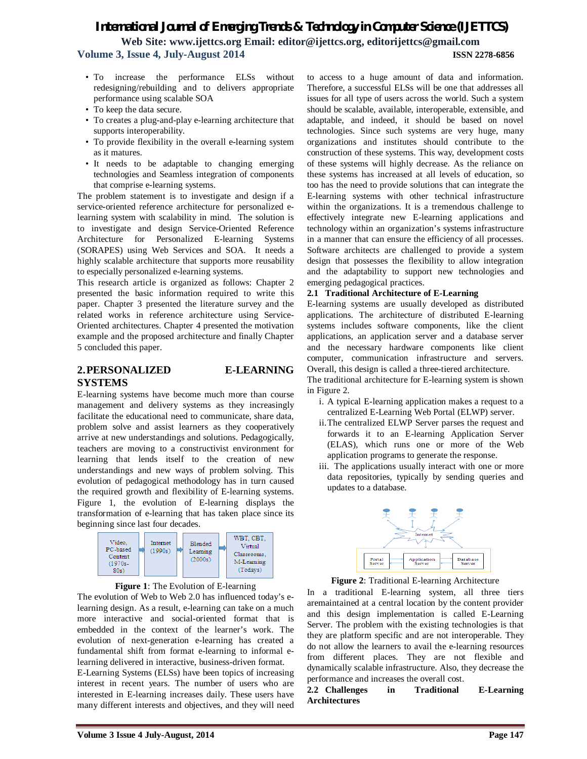**Web Site: www.ijettcs.org Email: editor@ijettcs.org, editorijettcs@gmail.com Volume 3, Issue 4, July-August 2014 ISSN 2278-6856**

- To increase the performance ELSs without redesigning/rebuilding and to delivers appropriate performance using scalable SOA
- To keep the data secure.
- To creates a plug-and-play e-learning architecture that supports interoperability.
- To provide flexibility in the overall e-learning system as it matures.
- It needs to be adaptable to changing emerging technologies and Seamless integration of components that comprise e-learning systems.

The problem statement is to investigate and design if a service-oriented reference architecture for personalized elearning system with scalability in mind. The solution is to investigate and design Service-Oriented Reference Architecture for Personalized E-learning Systems (SORAPES) using Web Services and SOA. It needs a highly scalable architecture that supports more reusability to especially personalized e-learning systems.

This research article is organized as follows: Chapter 2 presented the basic information required to write this paper. Chapter 3 presented the literature survey and the related works in reference architecture using Service-Oriented architectures. Chapter 4 presented the motivation example and the proposed architecture and finally Chapter 5 concluded this paper.

#### **2.PERSONALIZED E-LEARNING SYSTEMS**

E-learning systems have become much more than course management and delivery systems as they increasingly facilitate the educational need to communicate, share data, problem solve and assist learners as they cooperatively arrive at new understandings and solutions. Pedagogically, teachers are moving to a constructivist environment for learning that lends itself to the creation of new understandings and new ways of problem solving. This evolution of pedagogical methodology has in turn caused the required growth and flexibility of E-learning systems. Figure 1, the evolution of E-learning displays the transformation of e-learning that has taken place since its beginning since last four decades.





The evolution of Web to Web 2.0 has influenced today's elearning design. As a result, e-learning can take on a much more interactive and social-oriented format that is embedded in the context of the learner's work. The evolution of next-generation e-learning has created a fundamental shift from format e-learning to informal elearning delivered in interactive, business-driven format.

E-Learning Systems (ELSs) have been topics of increasing interest in recent years. The number of users who are interested in E-learning increases daily. These users have many different interests and objectives, and they will need

to access to a huge amount of data and information. Therefore, a successful ELSs will be one that addresses all issues for all type of users across the world. Such a system should be scalable, available, interoperable, extensible, and adaptable, and indeed, it should be based on novel technologies. Since such systems are very huge, many organizations and institutes should contribute to the construction of these systems. This way, development costs of these systems will highly decrease. As the reliance on these systems has increased at all levels of education, so too has the need to provide solutions that can integrate the E-learning systems with other technical infrastructure within the organizations. It is a tremendous challenge to effectively integrate new E-learning applications and technology within an organization's systems infrastructure in a manner that can ensure the efficiency of all processes. Software architects are challenged to provide a system design that possesses the flexibility to allow integration and the adaptability to support new technologies and emerging pedagogical practices.

#### **2.1 Traditional Architecture of E-Learning**

E-learning systems are usually developed as distributed applications. The architecture of distributed E-learning systems includes software components, like the client applications, an application server and a database server and the necessary hardware components like client computer, communication infrastructure and servers. Overall, this design is called a three-tiered architecture.

The traditional architecture for E-learning system is shown in Figure 2.

- i. A typical E-learning application makes a request to a centralized E-Learning Web Portal (ELWP) server.
- ii.The centralized ELWP Server parses the request and forwards it to an E-learning Application Server (ELAS), which runs one or more of the Web application programs to generate the response.
- iii. The applications usually interact with one or more data repositories, typically by sending queries and updates to a database.



**Figure 2**: Traditional E-learning Architecture

In a traditional E-learning system, all three tiers aremaintained at a central location by the content provider and this design implementation is called E-Learning Server. The problem with the existing technologies is that they are platform specific and are not interoperable. They do not allow the learners to avail the e-learning resources from different places. They are not flexible and dynamically scalable infrastructure. Also, they decrease the performance and increases the overall cost.

**2.2 Challenges in Traditional E-Learning Architectures**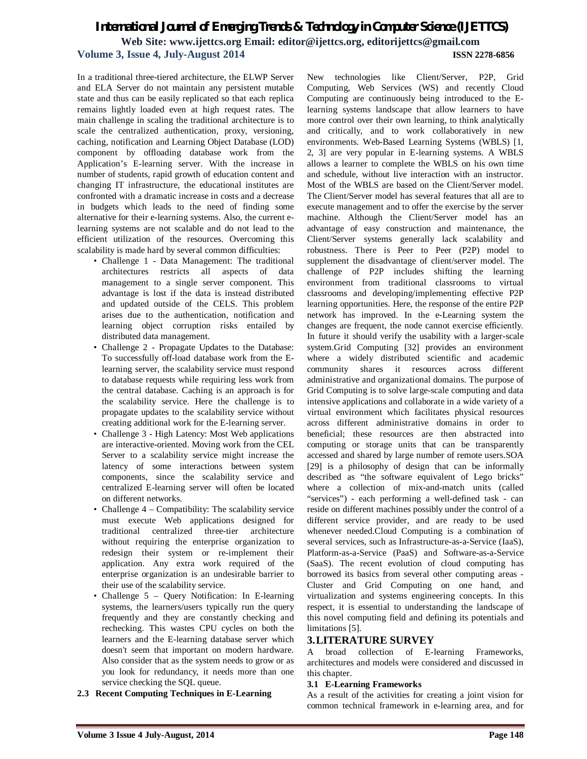### *International Journal of Emerging Trends & Technology in Computer Science (IJETTCS)* **Web Site: www.ijettcs.org Email: editor@ijettcs.org, editorijettcs@gmail.com Volume 3, Issue 4, July-August 2014 ISSN 2278-6856**

In a traditional three-tiered architecture, the ELWP Server and ELA Server do not maintain any persistent mutable state and thus can be easily replicated so that each replica remains lightly loaded even at high request rates. The main challenge in scaling the traditional architecture is to scale the centralized authentication, proxy, versioning, caching, notification and Learning Object Database (LOD) component by offloading database work from the Application's E-learning server. With the increase in number of students, rapid growth of education content and changing IT infrastructure, the educational institutes are confronted with a dramatic increase in costs and a decrease in budgets which leads to the need of finding some alternative for their e-learning systems. Also, the current elearning systems are not scalable and do not lead to the efficient utilization of the resources. Overcoming this scalability is made hard by several common difficulties:

- Challenge 1 Data Management: The traditional architectures restricts all aspects of data management to a single server component. This advantage is lost if the data is instead distributed and updated outside of the CELS. This problem arises due to the authentication, notification and learning object corruption risks entailed by distributed data management.
- Challenge 2 Propagate Updates to the Database: To successfully off-load database work from the Elearning server, the scalability service must respond to database requests while requiring less work from the central database. Caching is an approach is for the scalability service. Here the challenge is to propagate updates to the scalability service without creating additional work for the E-learning server.
- Challenge 3 High Latency: Most Web applications are interactive-oriented. Moving work from the CEL Server to a scalability service might increase the latency of some interactions between system components, since the scalability service and centralized E-learning server will often be located on different networks.
- Challenge 4 Compatibility: The scalability service must execute Web applications designed for traditional centralized three-tier architecture without requiring the enterprise organization to redesign their system or re-implement their application. Any extra work required of the enterprise organization is an undesirable barrier to their use of the scalability service.
- Challenge 5 Query Notification: In E-learning systems, the learners/users typically run the query frequently and they are constantly checking and rechecking. This wastes CPU cycles on both the learners and the E-learning database server which doesn't seem that important on modern hardware. Also consider that as the system needs to grow or as you look for redundancy, it needs more than one service checking the SQL queue.
- **2.3 Recent Computing Techniques in E-Learning**

New technologies like Client/Server, P2P, Grid Computing, Web Services (WS) and recently Cloud Computing are continuously being introduced to the Elearning systems landscape that allow learners to have more control over their own learning, to think analytically and critically, and to work collaboratively in new environments. Web-Based Learning Systems (WBLS) [1, 2, 3] are very popular in E-learning systems. A WBLS allows a learner to complete the WBLS on his own time and schedule, without live interaction with an instructor. Most of the WBLS are based on the Client/Server model. The Client/Server model has several features that all are to execute management and to offer the exercise by the server machine. Although the Client/Server model has an advantage of easy construction and maintenance, the Client/Server systems generally lack scalability and robustness. There is Peer to Peer (P2P) model to supplement the disadvantage of client/server model. The challenge of P2P includes shifting the learning environment from traditional classrooms to virtual classrooms and developing/implementing effective P2P learning opportunities. Here, the response of the entire P2P network has improved. In the e-Learning system the changes are frequent, the node cannot exercise efficiently. In future it should verify the usability with a larger-scale system.Grid Computing [32] provides an environment where a widely distributed scientific and academic community shares it resources across different administrative and organizational domains. The purpose of Grid Computing is to solve large-scale computing and data intensive applications and collaborate in a wide variety of a virtual environment which facilitates physical resources across different administrative domains in order to beneficial; these resources are then abstracted into computing or storage units that can be transparently accessed and shared by large number of remote users.SOA [29] is a philosophy of design that can be informally described as "the software equivalent of Lego bricks" where a collection of mix-and-match units (called "services") - each performing a well-defined task - can reside on different machines possibly under the control of a different service provider, and are ready to be used whenever needed.Cloud Computing is a combination of several services, such as Infrastructure-as-a-Service (IaaS), Platform-as-a-Service (PaaS) and Software-as-a-Service (SaaS). The recent evolution of cloud computing has borrowed its basics from several other computing areas - Cluster and Grid Computing on one hand, and virtualization and systems engineering concepts. In this respect, it is essential to understanding the landscape of this novel computing field and defining its potentials and limitations [5].

#### **3.LITERATURE SURVEY**

A broad collection of E-learning Frameworks, architectures and models were considered and discussed in this chapter.

#### **3.1 E-Learning Frameworks**

As a result of the activities for creating a joint vision for common technical framework in e-learning area, and for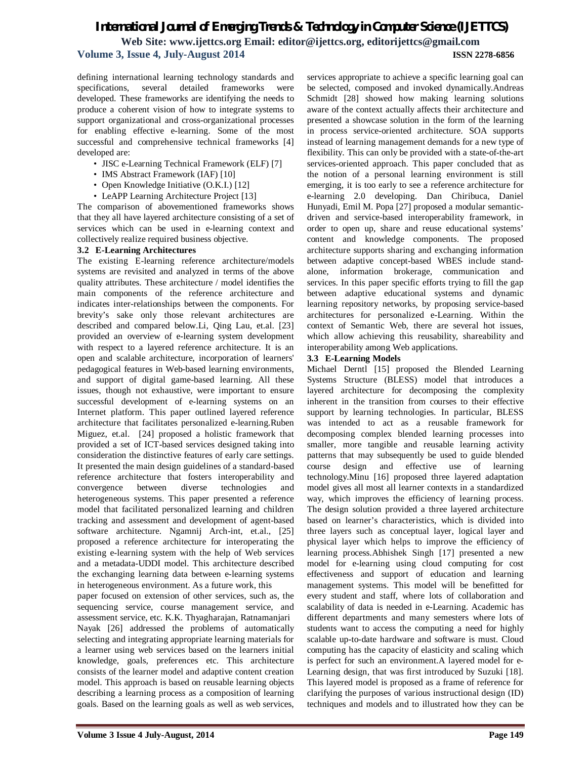### *International Journal of Emerging Trends & Technology in Computer Science (IJETTCS)* **Web Site: www.ijettcs.org Email: editor@ijettcs.org, editorijettcs@gmail.com Volume 3, Issue 4, July-August 2014 ISSN 2278-6856**

defining international learning technology standards and specifications, several detailed frameworks were developed. These frameworks are identifying the needs to produce a coherent vision of how to integrate systems to support organizational and cross-organizational processes for enabling effective e-learning. Some of the most successful and comprehensive technical frameworks [4] developed are:

- JISC e-Learning Technical Framework (ELF) [7]
- IMS Abstract Framework (IAF) [10]
- Open Knowledge Initiative (O.K.I.) [12]
- LeAPP Learning Architecture Project [13]

The comparison of abovementioned frameworks shows that they all have layered architecture consisting of a set of services which can be used in e-learning context and collectively realize required business objective.

#### **3.2 E-Learning Architectures**

The existing E-learning reference architecture/models systems are revisited and analyzed in terms of the above quality attributes. These architecture / model identifies the main components of the reference architecture and indicates inter-relationships between the components. For brevity's sake only those relevant architectures are described and compared below.Li, Qing Lau, et.al. [23] provided an overview of e-learning system development with respect to a layered reference architecture. It is an open and scalable architecture, incorporation of learners' pedagogical features in Web-based learning environments, and support of digital game-based learning. All these issues, though not exhaustive, were important to ensure successful development of e-learning systems on an Internet platform. This paper outlined layered reference architecture that facilitates personalized e-learning.Ruben Miguez, et.al. [24] proposed a holistic framework that provided a set of ICT-based services designed taking into consideration the distinctive features of early care settings. It presented the main design guidelines of a standard-based reference architecture that fosters interoperability and convergence between diverse technologies and heterogeneous systems. This paper presented a reference model that facilitated personalized learning and children tracking and assessment and development of agent-based software architecture. Ngamnij Arch-int, et.al., [25] proposed a reference architecture for interoperating the existing e-learning system with the help of Web services and a metadata-UDDI model. This architecture described the exchanging learning data between e-learning systems in heterogeneous environment. As a future work, this

paper focused on extension of other services, such as, the sequencing service, course management service, and assessment service, etc. K.K. Thyagharajan, Ratnamanjari Nayak [26] addressed the problems of automatically selecting and integrating appropriate learning materials for a learner using web services based on the learners initial knowledge, goals, preferences etc. This architecture consists of the learner model and adaptive content creation model. This approach is based on reusable learning objects describing a learning process as a composition of learning goals. Based on the learning goals as well as web services,

services appropriate to achieve a specific learning goal can be selected, composed and invoked dynamically.Andreas Schmidt [28] showed how making learning solutions aware of the context actually affects their architecture and presented a showcase solution in the form of the learning in process service-oriented architecture. SOA supports instead of learning management demands for a new type of flexibility. This can only be provided with a state-of-the-art services-oriented approach. This paper concluded that as the notion of a personal learning environment is still emerging, it is too early to see a reference architecture for e-learning 2.0 developing. Dan Chiribuca, Daniel Hunyadi, Emil M. Popa [27] proposed a modular semanticdriven and service-based interoperability framework, in order to open up, share and reuse educational systems' content and knowledge components. The proposed architecture supports sharing and exchanging information between adaptive concept-based WBES include standalone, information brokerage, communication and services. In this paper specific efforts trying to fill the gap between adaptive educational systems and dynamic learning repository networks, by proposing service-based architectures for personalized e-Learning. Within the context of Semantic Web, there are several hot issues, which allow achieving this reusability, shareability and interoperability among Web applications.

#### **3.3 E-Learning Models**

Michael Derntl [15] proposed the Blended Learning Systems Structure (BLESS) model that introduces a layered architecture for decomposing the complexity inherent in the transition from courses to their effective support by learning technologies. In particular, BLESS was intended to act as a reusable framework for decomposing complex blended learning processes into smaller, more tangible and reusable learning activity patterns that may subsequently be used to guide blended course design and effective use of learning technology.Minu [16] proposed three layered adaptation model gives all most all learner contexts in a standardized way, which improves the efficiency of learning process. The design solution provided a three layered architecture based on learner's characteristics, which is divided into three layers such as conceptual layer, logical layer and physical layer which helps to improve the efficiency of learning process.Abhishek Singh [17] presented a new model for e-learning using cloud computing for cost effectiveness and support of education and learning management systems. This model will be benefitted for every student and staff, where lots of collaboration and scalability of data is needed in e-Learning. Academic has different departments and many semesters where lots of students want to access the computing a need for highly scalable up-to-date hardware and software is must. Cloud computing has the capacity of elasticity and scaling which is perfect for such an environment.A layered model for e-Learning design, that was first introduced by Suzuki [18]. This layered model is proposed as a frame of reference for clarifying the purposes of various instructional design (ID) techniques and models and to illustrated how they can be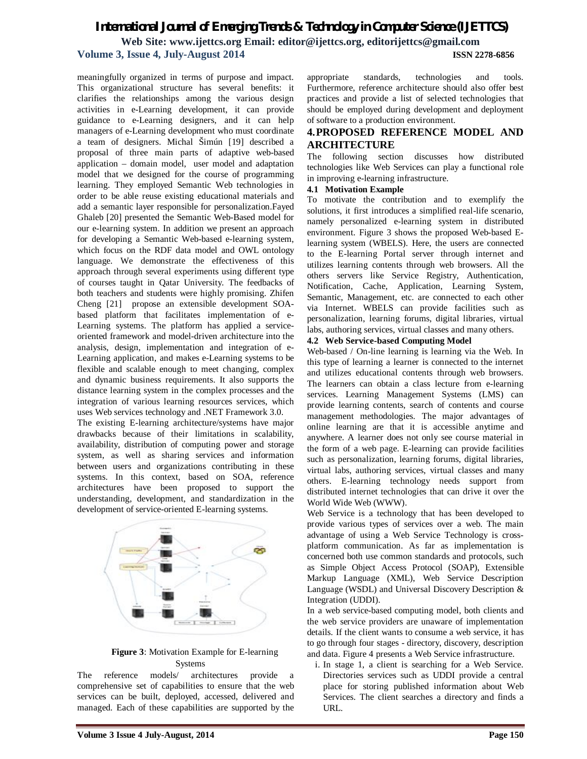### *International Journal of Emerging Trends & Technology in Computer Science (IJETTCS)* **Web Site: www.ijettcs.org Email: editor@ijettcs.org, editorijettcs@gmail.com**

#### **Volume 3, Issue 4, July-August 2014 ISSN 2278-6856**

meaningfully organized in terms of purpose and impact. This organizational structure has several benefits: it clarifies the relationships among the various design activities in e-Learning development, it can provide guidance to e-Learning designers, and it can help managers of e-Learning development who must coordinate a team of designers. Michal Šimún [19] described a proposal of three main parts of adaptive web-based application – domain model, user model and adaptation model that we designed for the course of programming learning. They employed Semantic Web technologies in order to be able reuse existing educational materials and add a semantic layer responsible for personalization.Fayed Ghaleb [20] presented the Semantic Web-Based model for our e-learning system. In addition we present an approach for developing a Semantic Web-based e-learning system, which focus on the RDF data model and OWL ontology language. We demonstrate the effectiveness of this approach through several experiments using different type of courses taught in Qatar University. The feedbacks of both teachers and students were highly promising. Zhifen Cheng [21] propose an extensible development SOAbased platform that facilitates implementation of e-Learning systems. The platform has applied a serviceoriented framework and model-driven architecture into the analysis, design, implementation and integration of e-Learning application, and makes e-Learning systems to be flexible and scalable enough to meet changing, complex and dynamic business requirements. It also supports the distance learning system in the complex processes and the integration of various learning resources services, which uses Web services technology and .NET Framework 3.0.

The existing E-learning architecture/systems have major drawbacks because of their limitations in scalability, availability, distribution of computing power and storage system, as well as sharing services and information between users and organizations contributing in these systems. In this context, based on SOA, reference architectures have been proposed to support the understanding, development, and standardization in the development of service-oriented E-learning systems.



#### **Figure 3**: Motivation Example for E-learning Systems

The reference models/ architectures provide a comprehensive set of capabilities to ensure that the web services can be built, deployed, accessed, delivered and managed. Each of these capabilities are supported by the

appropriate standards, technologies and tools. Furthermore, reference architecture should also offer best practices and provide a list of selected technologies that should be employed during development and deployment of software to a production environment.

#### **4.PROPOSED REFERENCE MODEL AND ARCHITECTURE**

The following section discusses how distributed technologies like Web Services can play a functional role in improving e-learning infrastructure.

#### **4.1 Motivation Example**

To motivate the contribution and to exemplify the solutions, it first introduces a simplified real-life scenario, namely personalized e-learning system in distributed environment. Figure 3 shows the proposed Web-based Elearning system (WBELS). Here, the users are connected to the E-learning Portal server through internet and utilizes learning contents through web browsers. All the others servers like Service Registry, Authentication, Notification, Cache, Application, Learning System, Semantic, Management, etc. are connected to each other via Internet. WBELS can provide facilities such as personalization, learning forums, digital libraries, virtual labs, authoring services, virtual classes and many others.

#### **4.2 Web Service-based Computing Model**

Web-based / On-line learning is learning via the Web. In this type of learning a learner is connected to the internet and utilizes educational contents through web browsers. The learners can obtain a class lecture from e-learning services. Learning Management Systems (LMS) can provide learning contents, search of contents and course management methodologies. The major advantages of online learning are that it is accessible anytime and anywhere. A learner does not only see course material in the form of a web page. E-learning can provide facilities such as personalization, learning forums, digital libraries, virtual labs, authoring services, virtual classes and many others. E-learning technology needs support from distributed internet technologies that can drive it over the World Wide Web (WWW).

Web Service is a technology that has been developed to provide various types of services over a web. The main advantage of using a Web Service Technology is crossplatform communication. As far as implementation is concerned both use common standards and protocols, such as Simple Object Access Protocol (SOAP), Extensible Markup Language (XML), Web Service Description Language (WSDL) and Universal Discovery Description & Integration (UDDI).

In a web service-based computing model, both clients and the web service providers are unaware of implementation details. If the client wants to consume a web service, it has to go through four stages - directory, discovery, description and data. Figure 4 presents a Web Service infrastructure.

i. In stage 1, a client is searching for a Web Service. Directories services such as UDDI provide a central place for storing published information about Web Services. The client searches a directory and finds a URL.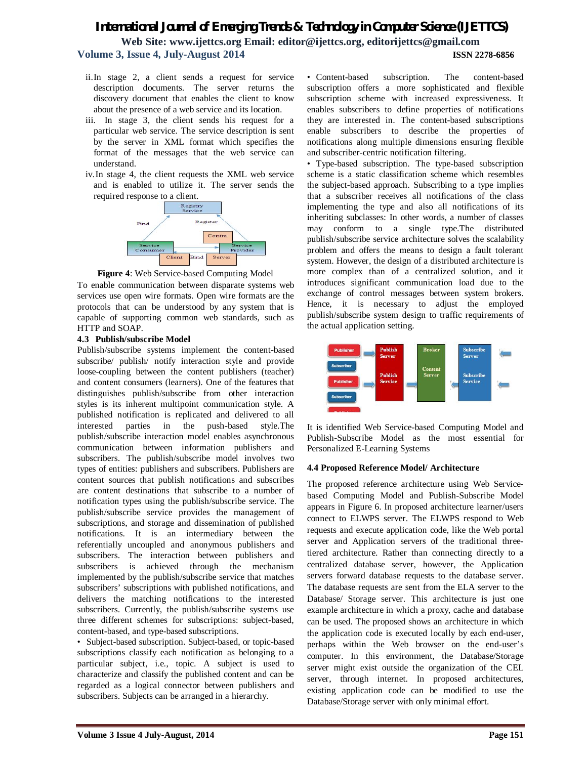**Web Site: www.ijettcs.org Email: editor@ijettcs.org, editorijettcs@gmail.com Volume 3, Issue 4, July-August 2014 ISSN 2278-6856**

- ii.In stage 2, a client sends a request for service description documents. The server returns the discovery document that enables the client to know about the presence of a web service and its location.
- iii. In stage 3, the client sends his request for a particular web service. The service description is sent by the server in XML format which specifies the format of the messages that the web service can understand.
- iv.In stage 4, the client requests the XML web service and is enabled to utilize it. The server sends the required response to a client.



**Figure 4**: Web Service-based Computing Model

To enable communication between disparate systems web services use open wire formats. Open wire formats are the protocols that can be understood by any system that is capable of supporting common web standards, such as HTTP and SOAP.

#### **4.3 Publish/subscribe Model**

Publish/subscribe systems implement the content-based subscribe/ publish/ notify interaction style and provide loose-coupling between the content publishers (teacher) and content consumers (learners). One of the features that distinguishes publish/subscribe from other interaction styles is its inherent multipoint communication style. A published notification is replicated and delivered to all interested parties in the push-based style.The publish/subscribe interaction model enables asynchronous communication between information publishers and subscribers. The publish/subscribe model involves two types of entities: publishers and subscribers. Publishers are content sources that publish notifications and subscribes are content destinations that subscribe to a number of notification types using the publish/subscribe service. The publish/subscribe service provides the management of subscriptions, and storage and dissemination of published notifications. It is an intermediary between the referentially uncoupled and anonymous publishers and subscribers. The interaction between publishers and subscribers is achieved through the mechanism implemented by the publish/subscribe service that matches subscribers' subscriptions with published notifications, and delivers the matching notifications to the interested subscribers. Currently, the publish/subscribe systems use three different schemes for subscriptions: subject-based, content-based, and type-based subscriptions.

• Subject-based subscription. Subject-based, or topic-based subscriptions classify each notification as belonging to a particular subject, i.e., topic. A subject is used to characterize and classify the published content and can be regarded as a logical connector between publishers and subscribers. Subjects can be arranged in a hierarchy.

• Content-based subscription. The content-based subscription offers a more sophisticated and flexible subscription scheme with increased expressiveness. It enables subscribers to define properties of notifications they are interested in. The content-based subscriptions enable subscribers to describe the properties of notifications along multiple dimensions ensuring flexible and subscriber-centric notification filtering.

• Type-based subscription. The type-based subscription scheme is a static classification scheme which resembles the subject-based approach. Subscribing to a type implies that a subscriber receives all notifications of the class implementing the type and also all notifications of its inheriting subclasses: In other words, a number of classes may conform to a single type.The distributed publish/subscribe service architecture solves the scalability problem and offers the means to design a fault tolerant system. However, the design of a distributed architecture is more complex than of a centralized solution, and it introduces significant communication load due to the exchange of control messages between system brokers. Hence, it is necessary to adjust the employed publish/subscribe system design to traffic requirements of the actual application setting.



It is identified Web Service-based Computing Model and Publish-Subscribe Model as the most essential for Personalized E-Learning Systems

#### **4.4 Proposed Reference Model/ Architecture**

The proposed reference architecture using Web Servicebased Computing Model and Publish-Subscribe Model appears in Figure 6. In proposed architecture learner/users connect to ELWPS server. The ELWPS respond to Web requests and execute application code, like the Web portal server and Application servers of the traditional threetiered architecture. Rather than connecting directly to a centralized database server, however, the Application servers forward database requests to the database server. The database requests are sent from the ELA server to the Database/ Storage server. This architecture is just one example architecture in which a proxy, cache and database can be used. The proposed shows an architecture in which the application code is executed locally by each end-user, perhaps within the Web browser on the end-user's computer. In this environment, the Database/Storage server might exist outside the organization of the CEL server, through internet. In proposed architectures, existing application code can be modified to use the Database/Storage server with only minimal effort.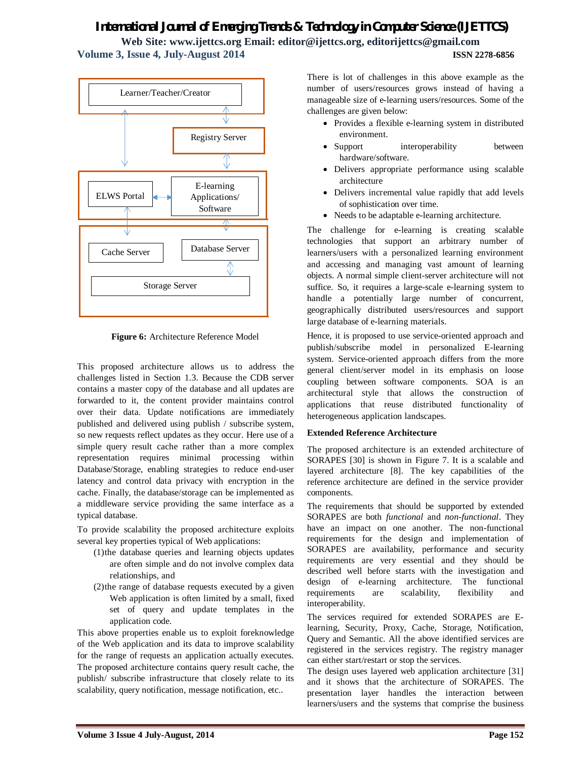**Web Site: www.ijettcs.org Email: editor@ijettcs.org, editorijettcs@gmail.com Volume 3, Issue 4, July-August 2014 ISSN 2278-6856**



**Figure 6:** Architecture Reference Model

This proposed architecture allows us to address the challenges listed in Section 1.3. Because the CDB server contains a master copy of the database and all updates are forwarded to it, the content provider maintains control over their data. Update notifications are immediately published and delivered using publish / subscribe system, so new requests reflect updates as they occur. Here use of a simple query result cache rather than a more complex representation requires minimal processing within Database/Storage, enabling strategies to reduce end-user latency and control data privacy with encryption in the cache. Finally, the database/storage can be implemented as a middleware service providing the same interface as a typical database.

To provide scalability the proposed architecture exploits several key properties typical of Web applications:

- (1)the database queries and learning objects updates are often simple and do not involve complex data relationships, and
- (2)the range of database requests executed by a given Web application is often limited by a small, fixed set of query and update templates in the application code.

This above properties enable us to exploit foreknowledge of the Web application and its data to improve scalability for the range of requests an application actually executes. The proposed architecture contains query result cache, the publish/ subscribe infrastructure that closely relate to its scalability, query notification, message notification, etc..

There is lot of challenges in this above example as the number of users/resources grows instead of having a manageable size of e-learning users/resources. Some of the challenges are given below:

- Provides a flexible e-learning system in distributed environment.
- Support interoperability between hardware/software.
- Delivers appropriate performance using scalable architecture
- Delivers incremental value rapidly that add levels of sophistication over time.
- Needs to be adaptable e-learning architecture.

The challenge for e-learning is creating scalable technologies that support an arbitrary number of learners/users with a personalized learning environment and accessing and managing vast amount of learning objects. A normal simple client-server architecture will not suffice. So, it requires a large-scale e-learning system to handle a potentially large number of concurrent, geographically distributed users/resources and support large database of e-learning materials.

Hence, it is proposed to use service-oriented approach and publish/subscribe model in personalized E-learning system. Service-oriented approach differs from the more general client/server model in its emphasis on loose coupling between software components. SOA is an architectural style that allows the construction of applications that reuse distributed functionality of heterogeneous application landscapes.

#### **Extended Reference Architecture**

The proposed architecture is an extended architecture of SORAPES [30] is shown in Figure 7. It is a scalable and layered architecture [8]. The key capabilities of the reference architecture are defined in the service provider components.

The requirements that should be supported by extended SORAPES are both *functional* and *non-functional*. They have an impact on one another. The non-functional requirements for the design and implementation of SORAPES are availability, performance and security requirements are very essential and they should be described well before starts with the investigation and design of e-learning architecture. The functional requirements are scalability, flexibility and interoperability.

The services required for extended SORAPES are Elearning, Security, Proxy, Cache, Storage, Notification, Query and Semantic. All the above identified services are registered in the services registry. The registry manager can either start/restart or stop the services.

The design uses layered web application architecture [31] and it shows that the architecture of SORAPES. The presentation layer handles the interaction between learners/users and the systems that comprise the business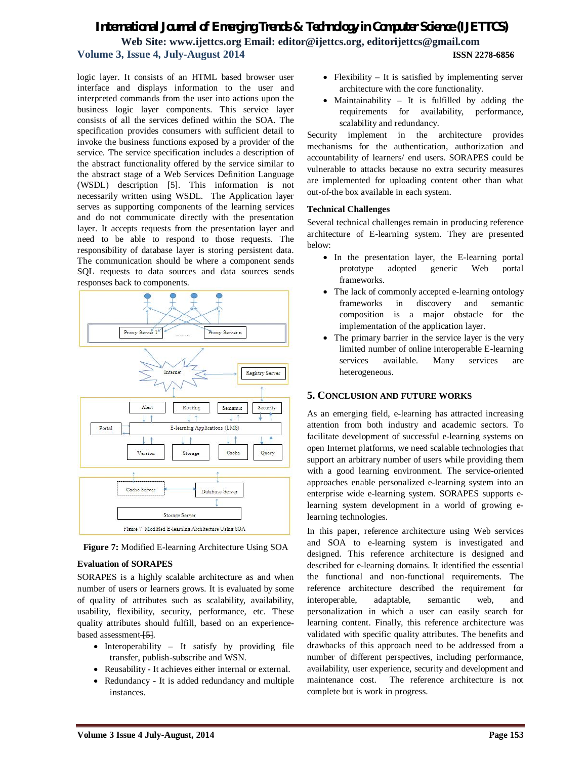### *International Journal of Emerging Trends & Technology in Computer Science (IJETTCS)* **Web Site: www.ijettcs.org Email: editor@ijettcs.org, editorijettcs@gmail.com Volume 3, Issue 4, July-August 2014 ISSN 2278-6856**

logic layer. It consists of an HTML based browser user interface and displays information to the user and interpreted commands from the user into actions upon the business logic layer components. This service layer consists of all the services defined within the SOA. The specification provides consumers with sufficient detail to invoke the business functions exposed by a provider of the service. The service specification includes a description of the abstract functionality offered by the service similar to the abstract stage of a Web Services Definition Language (WSDL) description [5]. This information is not necessarily written using WSDL. The Application layer serves as supporting components of the learning services and do not communicate directly with the presentation layer. It accepts requests from the presentation layer and need to be able to respond to those requests. The responsibility of database layer is storing persistent data. The communication should be where a component sends SQL requests to data sources and data sources sends responses back to components.



**Figure 7:** Modified E-learning Architecture Using SOA

#### **Evaluation of SORAPES**

SORAPES is a highly scalable architecture as and when number of users or learners grows. It is evaluated by some of quality of attributes such as scalability, availability, usability, flexibility, security, performance, etc. These quality attributes should fulfill, based on an experiencebased assessment <sup>[5]</sup>.

- $\bullet$  Interoperability It satisfy by providing file transfer, publish-subscribe and WSN.
- Reusability It achieves either internal or external.
- Redundancy It is added redundancy and multiple instances.
- Flexibility It is satisfied by implementing server architecture with the core functionality.
- Maintainability It is fulfilled by adding the requirements for availability, performance, scalability and redundancy.

Security implement in the architecture provides mechanisms for the authentication, authorization and accountability of learners/ end users. SORAPES could be vulnerable to attacks because no extra security measures are implemented for uploading content other than what out-of-the box available in each system.

#### **Technical Challenges**

Several technical challenges remain in producing reference architecture of E-learning system. They are presented below:

- In the presentation layer, the E-learning portal prototype adopted generic Web portal frameworks.
- The lack of commonly accepted e-learning ontology frameworks in discovery and semantic composition is a major obstacle for the implementation of the application layer.
- The primary barrier in the service layer is the very limited number of online interoperable E-learning services available. Many services are heterogeneous.

#### **5. CONCLUSION AND FUTURE WORKS**

As an emerging field, e-learning has attracted increasing attention from both industry and academic sectors. To facilitate development of successful e-learning systems on open Internet platforms, we need scalable technologies that support an arbitrary number of users while providing them with a good learning environment. The service-oriented approaches enable personalized e-learning system into an enterprise wide e-learning system. SORAPES supports elearning system development in a world of growing elearning technologies.

In this paper, reference architecture using Web services and SOA to e-learning system is investigated and designed. This reference architecture is designed and described for e-learning domains. It identified the essential the functional and non-functional requirements. The reference architecture described the requirement for interoperable, adaptable, semantic web, and personalization in which a user can easily search for learning content. Finally, this reference architecture was validated with specific quality attributes. The benefits and drawbacks of this approach need to be addressed from a number of different perspectives, including performance, availability, user experience, security and development and maintenance cost. The reference architecture is not complete but is work in progress.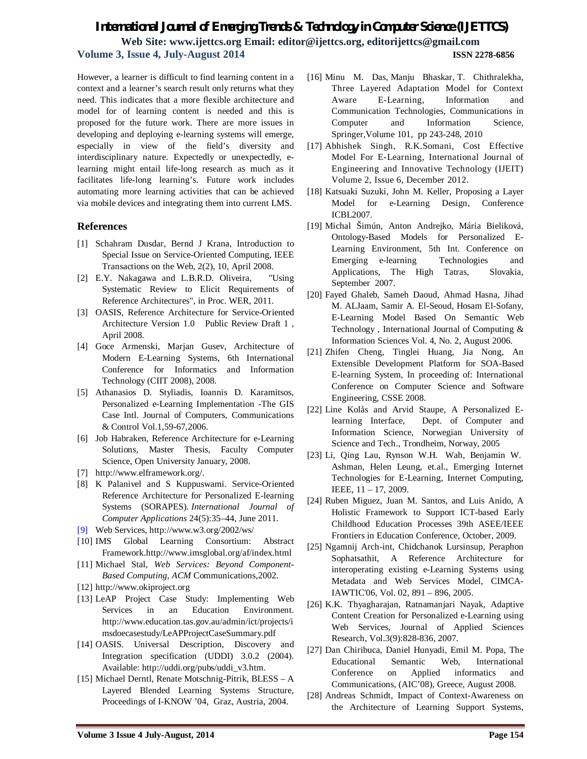**Web Site: www.ijettcs.org Email: editor@ijettcs.org, editorijettcs@gmail.com Volume 3, Issue 4, July-August 2014 ISSN 2278-6856**

However, a learner is difficult to find learning content in a context and a learner's search result only returns what they need. This indicates that a more flexible architecture and model for of learning content is needed and this is proposed for the future work. There are more issues in developing and deploying e-learning systems will emerge, especially in view of the field's diversity and interdisciplinary nature. Expectedly or unexpectedly, elearning might entail life-long research as much as it facilitates life-long learning's. Future work includes automating more learning activities that can be achieved via mobile devices and integrating them into current LMS.

#### **References**

- [1] Schahram Dusdar, Bernd J Krana, Introduction to Special Issue on Service-Oriented Computing, IEEE Transactions on the Web, 2(2), 10, April 2008.
- [2] E.Y. Nakagawa and L.B.R.D. Oliveira, "Using Systematic Review to Elicit Requirements of Reference Architectures", in Proc. WER, 2011.
- [3] OASIS, Reference Architecture for Service-Oriented Architecture Version 1.0 Public Review Draft 1 , April 2008.
- [4] Goce Armenski, Marjan Gusev, Architecture of Modern E-Learning Systems, 6th International Conference for Informatics and Information Technology (CIIT 2008), 2008.
- [5] Athanasios D. Styliadis, Ioannis D. Karamitsos, Personalized e-Learning Implementation -The GIS Case Intl. Journal of Computers, Communications & Control Vol.1,59-67,2006.
- [6] Job Habraken, Reference Architecture for e-Learning Solutions, Master Thesis, Faculty Computer Science, Open University January, 2008.
- [7] http://www.elframework.org/.
- [8] K Palanivel and S Kuppuswami. Service-Oriented Reference Architecture for Personalized E-learning Systems (SORAPES). *International Journal of Computer Applications* 24(5):35–44, June 2011.
- [9] Web Services, http://www.w3.org/2002/ws/
- [10] IMS Global Learning Consortium: Abstract Framework.http://www.imsglobal.org/af/index.html
- [11] Michael Stal, *Web Services: Beyond Component-Based Computing, ACM* Communications,2002.
- [12] http://www.okiproject.org
- [13] LeAP Project Case Study: Implementing Web Services in an Education Environment. http://www.education.tas.gov.au/admin/ict/projects/i msdoecasestudy/LeAPProjectCaseSummary.pdf
- [14] OASIS. Universal Description, Discovery and Integration specification (UDDI) 3.0.2 (2004). Available: http://uddi.org/pubs/uddi\_v3.htm.
- [15] Michael Derntl, Renate Motschnig-Pitrik, BLESS A Layered Blended Learning Systems Structure, Proceedings of I-KNOW '04, Graz, Austria, 2004.
- [16] Minu M. Das, Manju Bhaskar, T. Chithralekha, Three Layered Adaptation Model for Context Aware E-Learning, Information and Communication Technologies, Communications in Computer and Information Science, Springer,Volume 101, pp 243-248, 2010
- [17] Abhishek Singh, R.K.Somani, Cost Effective Model For E-Learning, International Journal of Engineering and Innovative Technology (IJEIT) Volume 2, Issue 6, December 2012.
- [18] Katsuaki Suzuki, John M. Keller, Proposing a Layer Model for e-Learning Design, Conference ICBL2007.
- [19] Michal Šimún, Anton Andrejko, Mária Bieliková, Ontology-Based Models for Personalized E-Learning Environment, 5th Int. Conference on Emerging e-learning Technologies and Applications, The High Tatras, Slovakia, September 2007.
- [20] Fayed Ghaleb, Sameh Daoud, Ahmad Hasna, Jihad M. ALJaam, Samir A. El-Seoud, Hosam El-Sofany, E-Learning Model Based On Semantic Web Technology , International Journal of Computing & Information Sciences Vol. 4, No. 2, August 2006.
- [21] Zhifen Cheng, Tinglei Huang, Jia Nong, An Extensible Development Platform for SOA-Based E-learning System, In proceeding of: International Conference on Computer Science and Software Engineering, CSSE 2008.
- [22] Line Kolås and Arvid Staupe, A Personalized Elearning Interface, Dept. of Computer and Information Science, Norwegian University of Science and Tech., Trondheim, Norway, 2005
- [23] Li, Qing Lau, Rynson W.H. Wah, Benjamin W. Ashman, Helen Leung, et.al., Emerging Internet Technologies for E-Learning, Internet Computing, IEEE, 11 – 17, 2009.
- [24] Ruben Miguez, Juan M. Santos, and Luis Anido, A Holistic Framework to Support ICT-based Early Childhood Education Processes 39th ASEE/IEEE Frontiers in Education Conference, October, 2009.
- [25] Ngamnij Arch-int, Chidchanok Lursinsup, Peraphon Sophatsathit, A Reference Architecture for interoperating existing e-Learning Systems using Metadata and Web Services Model, CIMCA-IAWTIC'06, Vol. 02, 891 – 896, 2005.
- [26] K.K. Thyagharajan, Ratnamanjari Nayak, Adaptive Content Creation for Personalized e-Learning using Web Services, Journal of Applied Sciences Research, Vol.3(9):828-836, 2007.
- [27] Dan Chiribuca, Daniel Hunyadi, Emil M. Popa, The Educational Semantic Web, International Conference on Applied informatics and Communications, (AIC'08), Greece, August 2008.
- [28] Andreas Schmidt, Impact of Context-Awareness on the Architecture of Learning Support Systems,